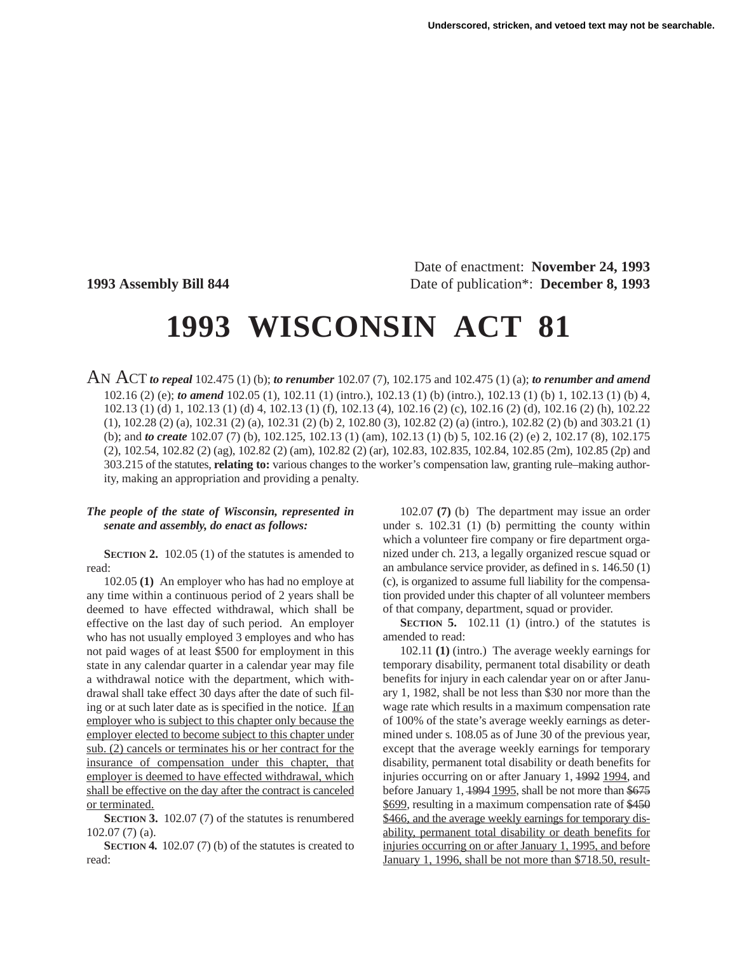Date of enactment: **November 24, 1993 1993 Assembly Bill 844** Date of publication\*: **December 8, 1993**

# **1993 WISCONSIN ACT 81**

AN ACT *to repeal* 102.475 (1) (b); *to renumber* 102.07 (7), 102.175 and 102.475 (1) (a); *to renumber and amend* 102.16 (2) (e); *to amend* 102.05 (1), 102.11 (1) (intro.), 102.13 (1) (b) (intro.), 102.13 (1) (b) 1, 102.13 (1) (b) 4, 102.13 (1) (d) 1, 102.13 (1) (d) 4, 102.13 (1) (f), 102.13 (4), 102.16 (2) (c), 102.16 (2) (d), 102.16 (2) (h), 102.22 (1), 102.28 (2) (a), 102.31 (2) (a), 102.31 (2) (b) 2, 102.80 (3), 102.82 (2) (a) (intro.), 102.82 (2) (b) and 303.21 (1) (b); and *to create* 102.07 (7) (b), 102.125, 102.13 (1) (am), 102.13 (1) (b) 5, 102.16 (2) (e) 2, 102.17 (8), 102.175 (2), 102.54, 102.82 (2) (ag), 102.82 (2) (am), 102.82 (2) (ar), 102.83, 102.835, 102.84, 102.85 (2m), 102.85 (2p) and 303.215 of the statutes, **relating to:** various changes to the worker's compensation law, granting rule–making authority, making an appropriation and providing a penalty.

## *The people of the state of Wisconsin, represented in senate and assembly, do enact as follows:*

**SECTION 2.** 102.05 (1) of the statutes is amended to read:

102.05 **(1)** An employer who has had no employe at any time within a continuous period of 2 years shall be deemed to have effected withdrawal, which shall be effective on the last day of such period. An employer who has not usually employed 3 employes and who has not paid wages of at least \$500 for employment in this state in any calendar quarter in a calendar year may file a withdrawal notice with the department, which withdrawal shall take effect 30 days after the date of such filing or at such later date as is specified in the notice. If an employer who is subject to this chapter only because the employer elected to become subject to this chapter under sub. (2) cancels or terminates his or her contract for the insurance of compensation under this chapter, that employer is deemed to have effected withdrawal, which shall be effective on the day after the contract is canceled or terminated.

**SECTION 3.** 102.07 (7) of the statutes is renumbered 102.07 (7) (a).

**SECTION 4.** 102.07 (7) (b) of the statutes is created to read:

102.07 **(7)** (b) The department may issue an order under s. 102.31 (1) (b) permitting the county within which a volunteer fire company or fire department organized under ch. 213, a legally organized rescue squad or an ambulance service provider, as defined in s. 146.50 (1) (c), is organized to assume full liability for the compensation provided under this chapter of all volunteer members of that company, department, squad or provider.

**SECTION 5.** 102.11 (1) (intro.) of the statutes is amended to read:

102.11 **(1)** (intro.) The average weekly earnings for temporary disability, permanent total disability or death benefits for injury in each calendar year on or after January 1, 1982, shall be not less than \$30 nor more than the wage rate which results in a maximum compensation rate of 100% of the state's average weekly earnings as determined under s. 108.05 as of June 30 of the previous year, except that the average weekly earnings for temporary disability, permanent total disability or death benefits for injuries occurring on or after January 1, 1992 1994, and before January 1, 1994 1995, shall be not more than \$675 \$699, resulting in a maximum compensation rate of \$450 \$466, and the average weekly earnings for temporary disability, permanent total disability or death benefits for injuries occurring on or after January 1, 1995, and before January 1, 1996, shall be not more than \$718.50, result-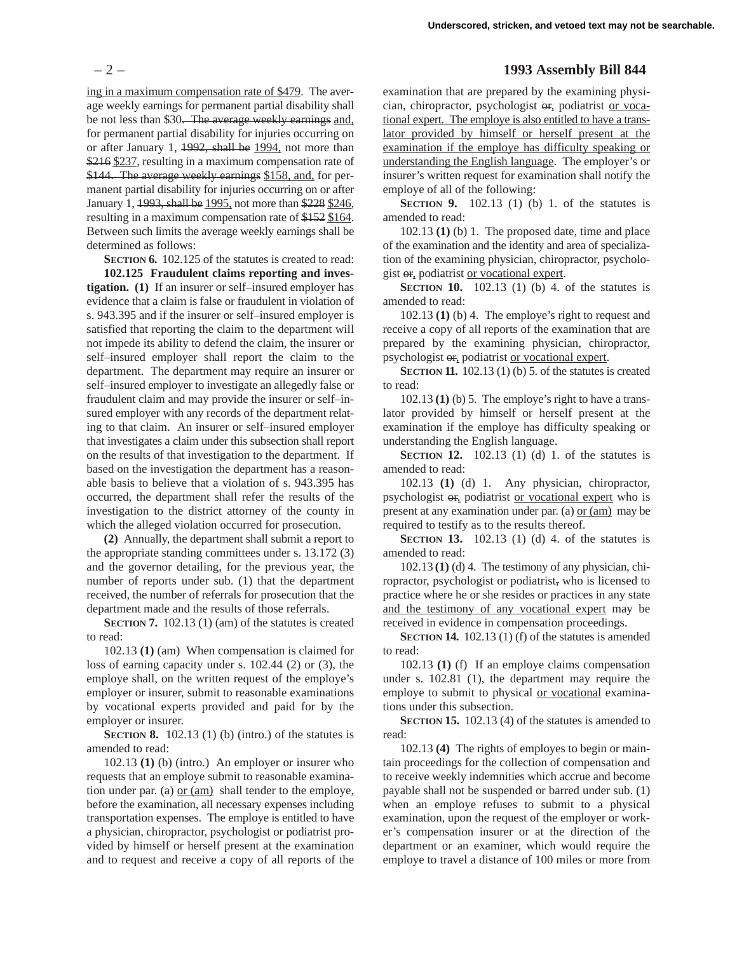ing in a maximum compensation rate of \$479. The average weekly earnings for permanent partial disability shall be not less than \$30. The average weekly earnings and, for permanent partial disability for injuries occurring on or after January 1, 1992, shall be 1994, not more than \$216 \$237, resulting in a maximum compensation rate of \$144. The average weekly earnings \$158, and, for permanent partial disability for injuries occurring on or after January 1, 1993, shall be 1995, not more than \$228 \$246, resulting in a maximum compensation rate of \$152 \$164. Between such limits the average weekly earnings shall be determined as follows:

**SECTION 6.** 102.125 of the statutes is created to read:

**102.125 Fraudulent claims reporting and investigation. (1)** If an insurer or self–insured employer has evidence that a claim is false or fraudulent in violation of s. 943.395 and if the insurer or self–insured employer is satisfied that reporting the claim to the department will not impede its ability to defend the claim, the insurer or self–insured employer shall report the claim to the department. The department may require an insurer or self–insured employer to investigate an allegedly false or fraudulent claim and may provide the insurer or self–insured employer with any records of the department relating to that claim. An insurer or self–insured employer that investigates a claim under this subsection shall report on the results of that investigation to the department. If based on the investigation the department has a reasonable basis to believe that a violation of s. 943.395 has occurred, the department shall refer the results of the investigation to the district attorney of the county in which the alleged violation occurred for prosecution.

**(2)** Annually, the department shall submit a report to the appropriate standing committees under s. 13.172 (3) and the governor detailing, for the previous year, the number of reports under sub. (1) that the department received, the number of referrals for prosecution that the department made and the results of those referrals.

**SECTION 7.** 102.13 (1) (am) of the statutes is created to read:

102.13 **(1)** (am) When compensation is claimed for loss of earning capacity under s. 102.44 (2) or (3), the employe shall, on the written request of the employe's employer or insurer, submit to reasonable examinations by vocational experts provided and paid for by the employer or insurer.

**SECTION 8.** 102.13 (1) (b) (intro.) of the statutes is amended to read:

102.13 **(1)** (b) (intro.) An employer or insurer who requests that an employe submit to reasonable examination under par. (a) or (am) shall tender to the employe, before the examination, all necessary expenses including transportation expenses. The employe is entitled to have a physician, chiropractor, psychologist or podiatrist provided by himself or herself present at the examination and to request and receive a copy of all reports of the

## – 2 – **1993 Assembly Bill 844**

examination that are prepared by the examining physician, chiropractor, psychologist or, podiatrist or vocational expert. The employe is also entitled to have a translator provided by himself or herself present at the examination if the employe has difficulty speaking or understanding the English language. The employer's or insurer's written request for examination shall notify the employe of all of the following:

**SECTION 9.** 102.13 (1) (b) 1. of the statutes is amended to read:

102.13 **(1)** (b) 1. The proposed date, time and place of the examination and the identity and area of specialization of the examining physician, chiropractor, psychologist or, podiatrist or vocational expert.

**SECTION 10.** 102.13 (1) (b) 4. of the statutes is amended to read:

102.13 **(1)** (b) 4. The employe's right to request and receive a copy of all reports of the examination that are prepared by the examining physician, chiropractor, psychologist or, podiatrist or vocational expert.

**SECTION 11.** 102.13 (1) (b) 5. of the statutes is created to read:

102.13 **(1)** (b) 5. The employe's right to have a translator provided by himself or herself present at the examination if the employe has difficulty speaking or understanding the English language.

**SECTION 12.** 102.13 (1) (d) 1. of the statutes is amended to read:

102.13 **(1)** (d) 1. Any physician, chiropractor, psychologist or, podiatrist or vocational expert who is present at any examination under par. (a) or (am) may be required to testify as to the results thereof.

**SECTION 13.** 102.13 (1) (d) 4. of the statutes is amended to read:

102.13 **(1)** (d) 4. The testimony of any physician, chiropractor, psychologist or podiatrist, who is licensed to practice where he or she resides or practices in any state and the testimony of any vocational expert may be received in evidence in compensation proceedings.

**SECTION 14.** 102.13 (1) (f) of the statutes is amended to read:

102.13 **(1)** (f) If an employe claims compensation under s. 102.81 (1), the department may require the employe to submit to physical or vocational examinations under this subsection.

**SECTION 15.** 102.13 (4) of the statutes is amended to read:

102.13 **(4)** The rights of employes to begin or maintain proceedings for the collection of compensation and to receive weekly indemnities which accrue and become payable shall not be suspended or barred under sub. (1) when an employe refuses to submit to a physical examination, upon the request of the employer or worker's compensation insurer or at the direction of the department or an examiner, which would require the employe to travel a distance of 100 miles or more from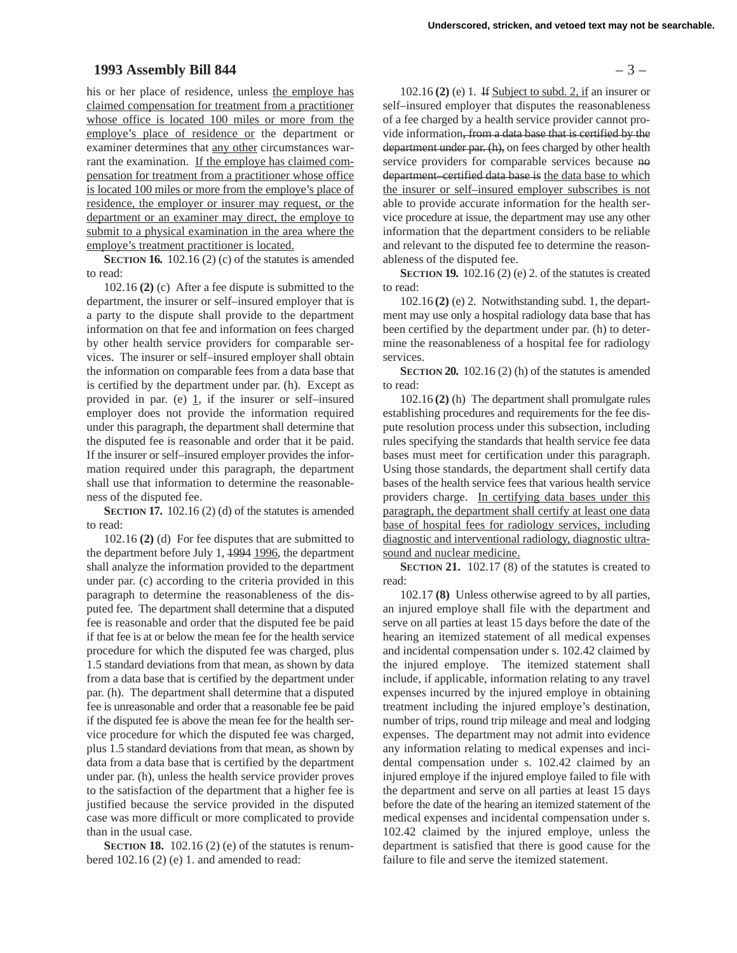## **1993 Assembly Bill 844** – 3 –

his or her place of residence, unless the employe has claimed compensation for treatment from a practitioner whose office is located 100 miles or more from the employe's place of residence or the department or examiner determines that any other circumstances warrant the examination. If the employe has claimed compensation for treatment from a practitioner whose office is located 100 miles or more from the employe's place of residence, the employer or insurer may request, or the department or an examiner may direct, the employe to submit to a physical examination in the area where the employe's treatment practitioner is located.

**SECTION 16.** 102.16 (2) (c) of the statutes is amended to read:

102.16 **(2)** (c) After a fee dispute is submitted to the department, the insurer or self–insured employer that is a party to the dispute shall provide to the department information on that fee and information on fees charged by other health service providers for comparable services. The insurer or self–insured employer shall obtain the information on comparable fees from a data base that is certified by the department under par. (h). Except as provided in par. (e)  $\overline{1}$ , if the insurer or self-insured employer does not provide the information required under this paragraph, the department shall determine that the disputed fee is reasonable and order that it be paid. If the insurer or self–insured employer provides the information required under this paragraph, the department shall use that information to determine the reasonableness of the disputed fee.

**SECTION 17.** 102.16 (2) (d) of the statutes is amended to read:

102.16 **(2)** (d) For fee disputes that are submitted to the department before July 1, 1994 1996, the department shall analyze the information provided to the department under par. (c) according to the criteria provided in this paragraph to determine the reasonableness of the disputed fee. The department shall determine that a disputed fee is reasonable and order that the disputed fee be paid if that fee is at or below the mean fee for the health service procedure for which the disputed fee was charged, plus 1.5 standard deviations from that mean, as shown by data from a data base that is certified by the department under par. (h). The department shall determine that a disputed fee is unreasonable and order that a reasonable fee be paid if the disputed fee is above the mean fee for the health service procedure for which the disputed fee was charged, plus 1.5 standard deviations from that mean, as shown by data from a data base that is certified by the department under par. (h), unless the health service provider proves to the satisfaction of the department that a higher fee is justified because the service provided in the disputed case was more difficult or more complicated to provide than in the usual case.

**SECTION 18.** 102.16 (2) (e) of the statutes is renumbered  $102.16$  (2) (e) 1. and amended to read:

102.16 **(2)** (e) 1. If Subject to subd. 2, if an insurer or self–insured employer that disputes the reasonableness of a fee charged by a health service provider cannot provide information, from a data base that is certified by the department under par. (h), on fees charged by other health service providers for comparable services because no department–certified data base is the data base to which the insurer or self–insured employer subscribes is not able to provide accurate information for the health service procedure at issue, the department may use any other information that the department considers to be reliable and relevant to the disputed fee to determine the reasonableness of the disputed fee.

**SECTION 19.** 102.16 (2) (e) 2. of the statutes is created to read:

102.16 **(2)** (e) 2. Notwithstanding subd. 1, the department may use only a hospital radiology data base that has been certified by the department under par. (h) to determine the reasonableness of a hospital fee for radiology services.

**SECTION 20.** 102.16 (2) (h) of the statutes is amended to read:

102.16 **(2)** (h) The department shall promulgate rules establishing procedures and requirements for the fee dispute resolution process under this subsection, including rules specifying the standards that health service fee data bases must meet for certification under this paragraph. Using those standards, the department shall certify data bases of the health service fees that various health service providers charge. In certifying data bases under this paragraph, the department shall certify at least one data base of hospital fees for radiology services, including diagnostic and interventional radiology, diagnostic ultrasound and nuclear medicine.

**SECTION 21.** 102.17 (8) of the statutes is created to read:

102.17 **(8)** Unless otherwise agreed to by all parties, an injured employe shall file with the department and serve on all parties at least 15 days before the date of the hearing an itemized statement of all medical expenses and incidental compensation under s. 102.42 claimed by the injured employe. The itemized statement shall include, if applicable, information relating to any travel expenses incurred by the injured employe in obtaining treatment including the injured employe's destination, number of trips, round trip mileage and meal and lodging expenses. The department may not admit into evidence any information relating to medical expenses and incidental compensation under s. 102.42 claimed by an injured employe if the injured employe failed to file with the department and serve on all parties at least 15 days before the date of the hearing an itemized statement of the medical expenses and incidental compensation under s. 102.42 claimed by the injured employe, unless the department is satisfied that there is good cause for the failure to file and serve the itemized statement.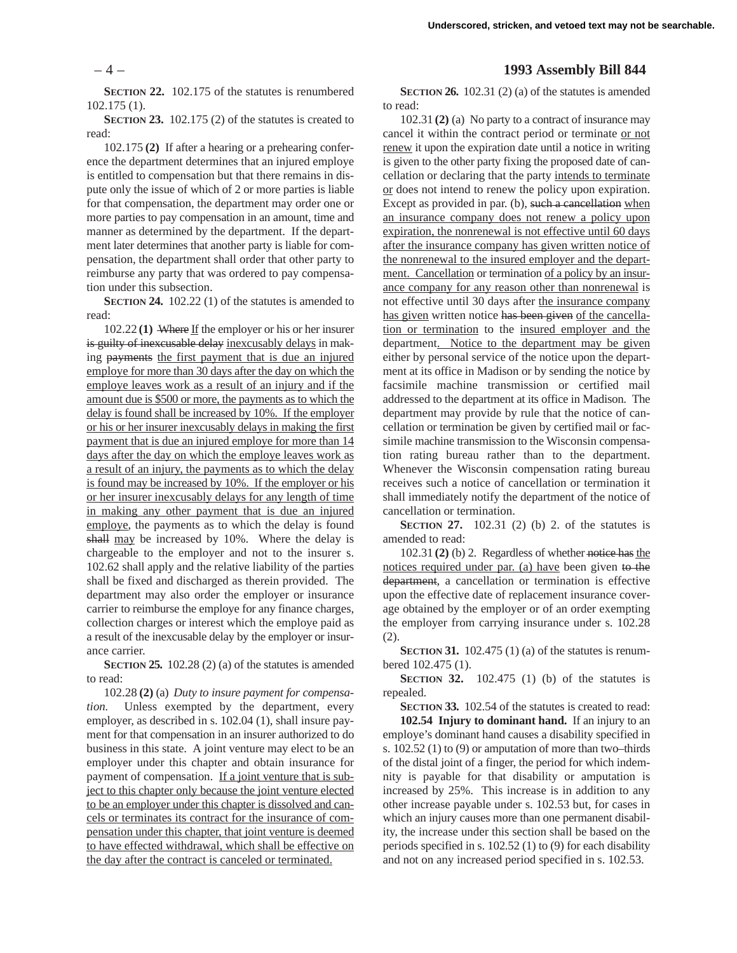**SECTION 22.** 102.175 of the statutes is renumbered 102.175 (1).

**SECTION 23.** 102.175 (2) of the statutes is created to read:

102.175 **(2)** If after a hearing or a prehearing conference the department determines that an injured employe is entitled to compensation but that there remains in dispute only the issue of which of 2 or more parties is liable for that compensation, the department may order one or more parties to pay compensation in an amount, time and manner as determined by the department. If the department later determines that another party is liable for compensation, the department shall order that other party to reimburse any party that was ordered to pay compensation under this subsection.

**SECTION 24.** 102.22 (1) of the statutes is amended to read:

102.22 **(1)** Where If the employer or his or her insurer is guilty of inexcusable delay inexcusably delays in making payments the first payment that is due an injured employe for more than 30 days after the day on which the employe leaves work as a result of an injury and if the amount due is \$500 or more, the payments as to which the delay is found shall be increased by 10%. If the employer or his or her insurer inexcusably delays in making the first payment that is due an injured employe for more than 14 days after the day on which the employe leaves work as a result of an injury, the payments as to which the delay is found may be increased by 10%. If the employer or his or her insurer inexcusably delays for any length of time in making any other payment that is due an injured employe, the payments as to which the delay is found shall may be increased by 10%. Where the delay is chargeable to the employer and not to the insurer s. 102.62 shall apply and the relative liability of the parties shall be fixed and discharged as therein provided. The department may also order the employer or insurance carrier to reimburse the employe for any finance charges, collection charges or interest which the employe paid as a result of the inexcusable delay by the employer or insurance carrier.

**SECTION 25.** 102.28 (2) (a) of the statutes is amended to read:

102.28 **(2)** (a) *Duty to insure payment for compensation.* Unless exempted by the department, every employer, as described in s. 102.04 (1), shall insure payment for that compensation in an insurer authorized to do business in this state. A joint venture may elect to be an employer under this chapter and obtain insurance for payment of compensation. If a joint venture that is subject to this chapter only because the joint venture elected to be an employer under this chapter is dissolved and cancels or terminates its contract for the insurance of compensation under this chapter, that joint venture is deemed to have effected withdrawal, which shall be effective on the day after the contract is canceled or terminated.

# – 4 – **1993 Assembly Bill 844**

**SECTION 26.** 102.31 (2) (a) of the statutes is amended to read:

102.31 **(2)** (a) No party to a contract of insurance may cancel it within the contract period or terminate or not renew it upon the expiration date until a notice in writing is given to the other party fixing the proposed date of cancellation or declaring that the party intends to terminate or does not intend to renew the policy upon expiration. Except as provided in par. (b), such a cancellation when an insurance company does not renew a policy upon expiration, the nonrenewal is not effective until 60 days after the insurance company has given written notice of the nonrenewal to the insured employer and the department. Cancellation or termination of a policy by an insurance company for any reason other than nonrenewal is not effective until 30 days after the insurance company has given written notice has been given of the cancellation or termination to the insured employer and the department. Notice to the department may be given either by personal service of the notice upon the department at its office in Madison or by sending the notice by facsimile machine transmission or certified mail addressed to the department at its office in Madison. The department may provide by rule that the notice of cancellation or termination be given by certified mail or facsimile machine transmission to the Wisconsin compensation rating bureau rather than to the department. Whenever the Wisconsin compensation rating bureau receives such a notice of cancellation or termination it shall immediately notify the department of the notice of cancellation or termination.

**SECTION 27.** 102.31 (2) (b) 2. of the statutes is amended to read:

102.31 **(2)** (b) 2. Regardless of whether notice has the notices required under par. (a) have been given to the department, a cancellation or termination is effective upon the effective date of replacement insurance coverage obtained by the employer or of an order exempting the employer from carrying insurance under s. 102.28 (2).

**SECTION 31.** 102.475 (1) (a) of the statutes is renumbered 102.475 (1).

**SECTION 32.** 102.475 (1) (b) of the statutes is repealed.

**SECTION 33.** 102.54 of the statutes is created to read:

**102.54 Injury to dominant hand.** If an injury to an employe's dominant hand causes a disability specified in s. 102.52 (1) to (9) or amputation of more than two–thirds of the distal joint of a finger, the period for which indemnity is payable for that disability or amputation is increased by 25%. This increase is in addition to any other increase payable under s. 102.53 but, for cases in which an injury causes more than one permanent disability, the increase under this section shall be based on the periods specified in s. 102.52 (1) to (9) for each disability and not on any increased period specified in s. 102.53.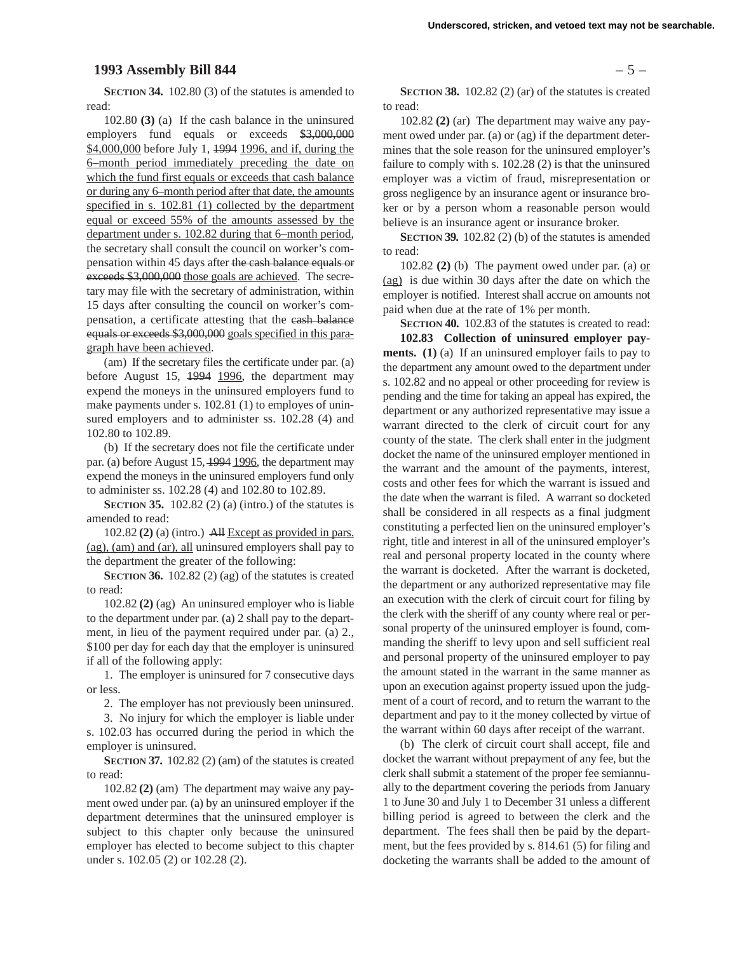#### **1993 Assembly Bill 844** – 5 –

**SECTION 34.** 102.80 (3) of the statutes is amended to read:

102.80 **(3)** (a) If the cash balance in the uninsured employers fund equals or exceeds \$3,000,000 \$4,000,000 before July 1, 1994 1996, and if, during the 6–month period immediately preceding the date on which the fund first equals or exceeds that cash balance or during any 6–month period after that date, the amounts specified in s. 102.81 (1) collected by the department equal or exceed 55% of the amounts assessed by the department under s. 102.82 during that 6–month period, the secretary shall consult the council on worker's compensation within 45 days after the cash balance equals or exceeds \$3,000,000 those goals are achieved. The secretary may file with the secretary of administration, within 15 days after consulting the council on worker's compensation, a certificate attesting that the cash balance equals or exceeds \$3,000,000 goals specified in this paragraph have been achieved.

(am) If the secretary files the certificate under par. (a) before August 15, 1994 1996, the department may expend the moneys in the uninsured employers fund to make payments under s. 102.81 (1) to employes of uninsured employers and to administer ss.  $102.28$  (4) and 102.80 to 102.89.

(b) If the secretary does not file the certificate under par. (a) before August 15, 1994 1996, the department may expend the moneys in the uninsured employers fund only to administer ss. 102.28 (4) and 102.80 to 102.89.

**SECTION 35.** 102.82 (2) (a) (intro.) of the statutes is amended to read:

102.82 **(2)** (a) (intro.) All Except as provided in pars. (ag), (am) and (ar), all uninsured employers shall pay to the department the greater of the following:

**SECTION 36.** 102.82 (2) (ag) of the statutes is created to read:

102.82 **(2)** (ag) An uninsured employer who is liable to the department under par. (a) 2 shall pay to the department, in lieu of the payment required under par. (a) 2., \$100 per day for each day that the employer is uninsured if all of the following apply:

1. The employer is uninsured for 7 consecutive days or less.

2. The employer has not previously been uninsured.

3. No injury for which the employer is liable under s. 102.03 has occurred during the period in which the employer is uninsured.

**SECTION 37.** 102.82 (2) (am) of the statutes is created to read:

102.82 **(2)** (am) The department may waive any payment owed under par. (a) by an uninsured employer if the department determines that the uninsured employer is subject to this chapter only because the uninsured employer has elected to become subject to this chapter under s. 102.05 (2) or 102.28 (2).

**SECTION 38.** 102.82 (2) (ar) of the statutes is created to read:

102.82 **(2)** (ar) The department may waive any payment owed under par. (a) or (ag) if the department determines that the sole reason for the uninsured employer's failure to comply with s. 102.28 (2) is that the uninsured employer was a victim of fraud, misrepresentation or gross negligence by an insurance agent or insurance broker or by a person whom a reasonable person would believe is an insurance agent or insurance broker.

**SECTION 39.** 102.82 (2) (b) of the statutes is amended to read:

102.82 **(2)** (b) The payment owed under par. (a) or (ag) is due within 30 days after the date on which the employer is notified. Interest shall accrue on amounts not paid when due at the rate of 1% per month.

**SECTION 40.** 102.83 of the statutes is created to read:

**102.83 Collection of uninsured employer payments. (1)** (a) If an uninsured employer fails to pay to the department any amount owed to the department under s. 102.82 and no appeal or other proceeding for review is pending and the time for taking an appeal has expired, the department or any authorized representative may issue a warrant directed to the clerk of circuit court for any county of the state. The clerk shall enter in the judgment docket the name of the uninsured employer mentioned in the warrant and the amount of the payments, interest, costs and other fees for which the warrant is issued and the date when the warrant is filed. A warrant so docketed shall be considered in all respects as a final judgment constituting a perfected lien on the uninsured employer's right, title and interest in all of the uninsured employer's real and personal property located in the county where the warrant is docketed. After the warrant is docketed, the department or any authorized representative may file an execution with the clerk of circuit court for filing by the clerk with the sheriff of any county where real or personal property of the uninsured employer is found, commanding the sheriff to levy upon and sell sufficient real and personal property of the uninsured employer to pay the amount stated in the warrant in the same manner as upon an execution against property issued upon the judgment of a court of record, and to return the warrant to the department and pay to it the money collected by virtue of the warrant within 60 days after receipt of the warrant.

(b) The clerk of circuit court shall accept, file and docket the warrant without prepayment of any fee, but the clerk shall submit a statement of the proper fee semiannually to the department covering the periods from January 1 to June 30 and July 1 to December 31 unless a different billing period is agreed to between the clerk and the department. The fees shall then be paid by the department, but the fees provided by s. 814.61 (5) for filing and docketing the warrants shall be added to the amount of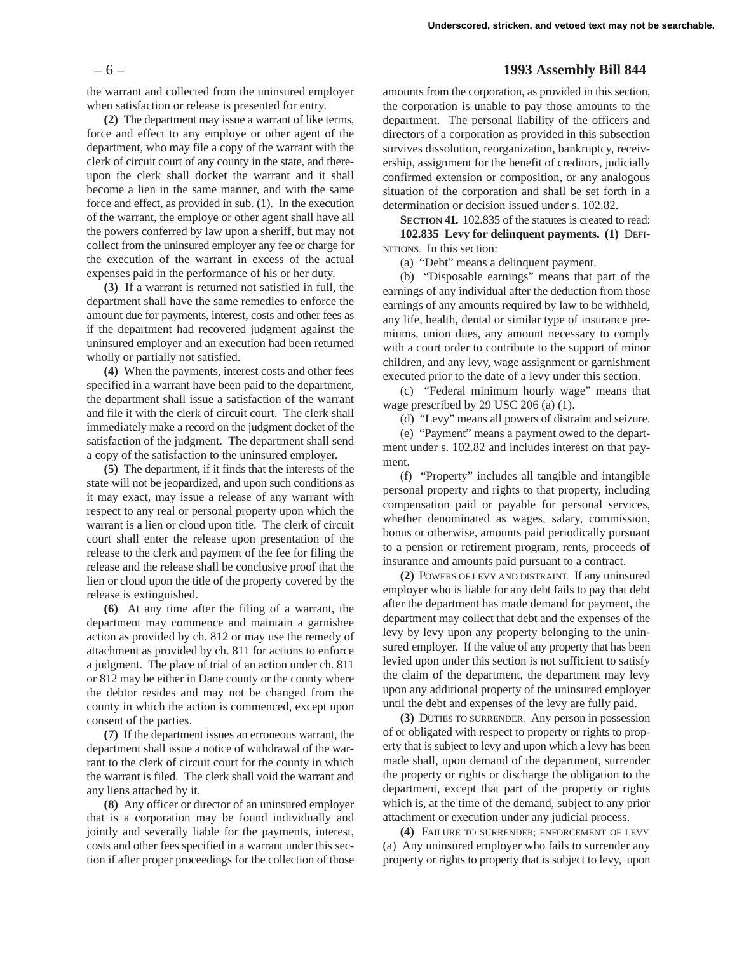#### – 6 – **1993 Assembly Bill 844**

the warrant and collected from the uninsured employer when satisfaction or release is presented for entry.

**(2)** The department may issue a warrant of like terms, force and effect to any employe or other agent of the department, who may file a copy of the warrant with the clerk of circuit court of any county in the state, and thereupon the clerk shall docket the warrant and it shall become a lien in the same manner, and with the same force and effect, as provided in sub. (1). In the execution of the warrant, the employe or other agent shall have all the powers conferred by law upon a sheriff, but may not collect from the uninsured employer any fee or charge for the execution of the warrant in excess of the actual expenses paid in the performance of his or her duty.

**(3)** If a warrant is returned not satisfied in full, the department shall have the same remedies to enforce the amount due for payments, interest, costs and other fees as if the department had recovered judgment against the uninsured employer and an execution had been returned wholly or partially not satisfied.

**(4)** When the payments, interest costs and other fees specified in a warrant have been paid to the department, the department shall issue a satisfaction of the warrant and file it with the clerk of circuit court. The clerk shall immediately make a record on the judgment docket of the satisfaction of the judgment. The department shall send a copy of the satisfaction to the uninsured employer.

**(5)** The department, if it finds that the interests of the state will not be jeopardized, and upon such conditions as it may exact, may issue a release of any warrant with respect to any real or personal property upon which the warrant is a lien or cloud upon title. The clerk of circuit court shall enter the release upon presentation of the release to the clerk and payment of the fee for filing the release and the release shall be conclusive proof that the lien or cloud upon the title of the property covered by the release is extinguished.

**(6)** At any time after the filing of a warrant, the department may commence and maintain a garnishee action as provided by ch. 812 or may use the remedy of attachment as provided by ch. 811 for actions to enforce a judgment. The place of trial of an action under ch. 811 or 812 may be either in Dane county or the county where the debtor resides and may not be changed from the county in which the action is commenced, except upon consent of the parties.

**(7)** If the department issues an erroneous warrant, the department shall issue a notice of withdrawal of the warrant to the clerk of circuit court for the county in which the warrant is filed. The clerk shall void the warrant and any liens attached by it.

**(8)** Any officer or director of an uninsured employer that is a corporation may be found individually and jointly and severally liable for the payments, interest, costs and other fees specified in a warrant under this section if after proper proceedings for the collection of those amounts from the corporation, as provided in this section, the corporation is unable to pay those amounts to the department. The personal liability of the officers and directors of a corporation as provided in this subsection survives dissolution, reorganization, bankruptcy, receivership, assignment for the benefit of creditors, judicially confirmed extension or composition, or any analogous situation of the corporation and shall be set forth in a determination or decision issued under s. 102.82.

**SECTION 41.** 102.835 of the statutes is created to read: **102.835 Levy for delinquent payments. (1)** DEFI-NITIONS. In this section:

(a) "Debt" means a delinquent payment.

(b) "Disposable earnings" means that part of the earnings of any individual after the deduction from those earnings of any amounts required by law to be withheld, any life, health, dental or similar type of insurance premiums, union dues, any amount necessary to comply with a court order to contribute to the support of minor children, and any levy, wage assignment or garnishment executed prior to the date of a levy under this section.

(c) "Federal minimum hourly wage" means that wage prescribed by 29 USC 206 (a) (1).

(d) "Levy" means all powers of distraint and seizure.

(e) "Payment" means a payment owed to the department under s. 102.82 and includes interest on that payment.

(f) "Property" includes all tangible and intangible personal property and rights to that property, including compensation paid or payable for personal services, whether denominated as wages, salary, commission, bonus or otherwise, amounts paid periodically pursuant to a pension or retirement program, rents, proceeds of insurance and amounts paid pursuant to a contract.

**(2)** POWERS OF LEVY AND DISTRAINT. If any uninsured employer who is liable for any debt fails to pay that debt after the department has made demand for payment, the department may collect that debt and the expenses of the levy by levy upon any property belonging to the uninsured employer. If the value of any property that has been levied upon under this section is not sufficient to satisfy the claim of the department, the department may levy upon any additional property of the uninsured employer until the debt and expenses of the levy are fully paid.

**(3)** DUTIES TO SURRENDER. Any person in possession of or obligated with respect to property or rights to property that is subject to levy and upon which a levy has been made shall, upon demand of the department, surrender the property or rights or discharge the obligation to the department, except that part of the property or rights which is, at the time of the demand, subject to any prior attachment or execution under any judicial process.

**(4)** FAILURE TO SURRENDER; ENFORCEMENT OF LEVY. (a) Any uninsured employer who fails to surrender any property or rights to property that is subject to levy, upon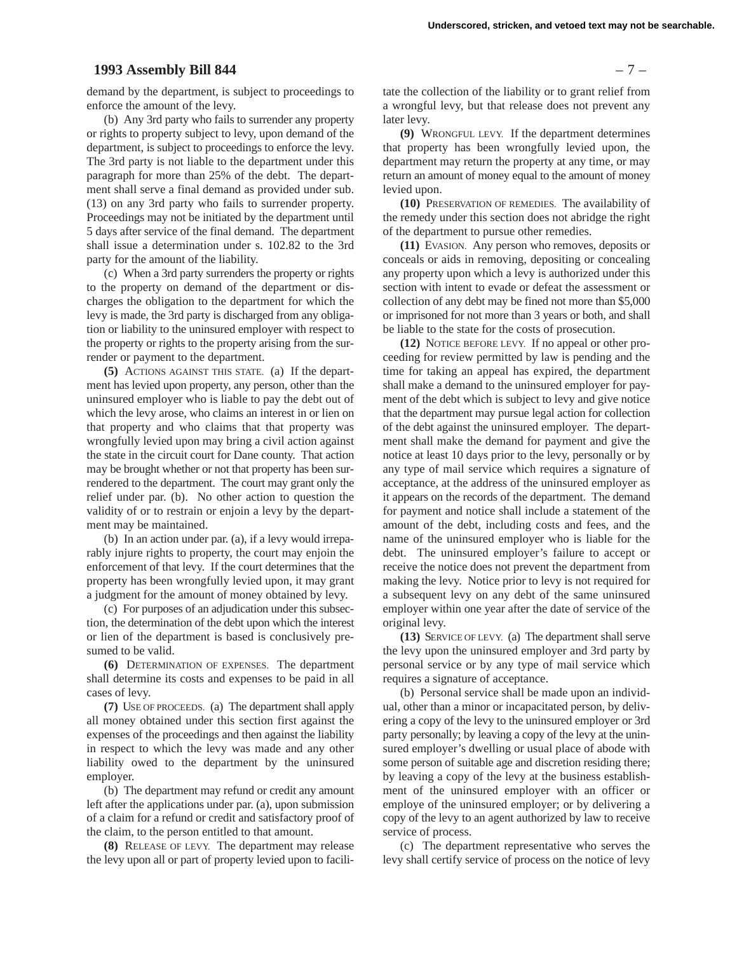# **1993 Assembly Bill 844** – 7 –

demand by the department, is subject to proceedings to enforce the amount of the levy.

(b) Any 3rd party who fails to surrender any property or rights to property subject to levy, upon demand of the department, is subject to proceedings to enforce the levy. The 3rd party is not liable to the department under this paragraph for more than 25% of the debt. The department shall serve a final demand as provided under sub. (13) on any 3rd party who fails to surrender property. Proceedings may not be initiated by the department until 5 days after service of the final demand. The department shall issue a determination under s. 102.82 to the 3rd party for the amount of the liability.

(c) When a 3rd party surrenders the property or rights to the property on demand of the department or discharges the obligation to the department for which the levy is made, the 3rd party is discharged from any obligation or liability to the uninsured employer with respect to the property or rights to the property arising from the surrender or payment to the department.

**(5)** ACTIONS AGAINST THIS STATE. (a) If the department has levied upon property, any person, other than the uninsured employer who is liable to pay the debt out of which the levy arose, who claims an interest in or lien on that property and who claims that that property was wrongfully levied upon may bring a civil action against the state in the circuit court for Dane county. That action may be brought whether or not that property has been surrendered to the department. The court may grant only the relief under par. (b). No other action to question the validity of or to restrain or enjoin a levy by the department may be maintained.

(b) In an action under par. (a), if a levy would irreparably injure rights to property, the court may enjoin the enforcement of that levy. If the court determines that the property has been wrongfully levied upon, it may grant a judgment for the amount of money obtained by levy.

(c) For purposes of an adjudication under this subsection, the determination of the debt upon which the interest or lien of the department is based is conclusively presumed to be valid.

**(6)** DETERMINATION OF EXPENSES. The department shall determine its costs and expenses to be paid in all cases of levy.

**(7)** USE OF PROCEEDS. (a) The department shall apply all money obtained under this section first against the expenses of the proceedings and then against the liability in respect to which the levy was made and any other liability owed to the department by the uninsured employer.

(b) The department may refund or credit any amount left after the applications under par. (a), upon submission of a claim for a refund or credit and satisfactory proof of the claim, to the person entitled to that amount.

**(8)** RELEASE OF LEVY. The department may release the levy upon all or part of property levied upon to facili-

tate the collection of the liability or to grant relief from a wrongful levy, but that release does not prevent any later levy.

**(9)** WRONGFUL LEVY. If the department determines that property has been wrongfully levied upon, the department may return the property at any time, or may return an amount of money equal to the amount of money levied upon.

**(10)** PRESERVATION OF REMEDIES. The availability of the remedy under this section does not abridge the right of the department to pursue other remedies.

**(11)** EVASION. Any person who removes, deposits or conceals or aids in removing, depositing or concealing any property upon which a levy is authorized under this section with intent to evade or defeat the assessment or collection of any debt may be fined not more than \$5,000 or imprisoned for not more than 3 years or both, and shall be liable to the state for the costs of prosecution.

**(12)** NOTICE BEFORE LEVY. If no appeal or other proceeding for review permitted by law is pending and the time for taking an appeal has expired, the department shall make a demand to the uninsured employer for payment of the debt which is subject to levy and give notice that the department may pursue legal action for collection of the debt against the uninsured employer. The department shall make the demand for payment and give the notice at least 10 days prior to the levy, personally or by any type of mail service which requires a signature of acceptance, at the address of the uninsured employer as it appears on the records of the department. The demand for payment and notice shall include a statement of the amount of the debt, including costs and fees, and the name of the uninsured employer who is liable for the debt. The uninsured employer's failure to accept or receive the notice does not prevent the department from making the levy. Notice prior to levy is not required for a subsequent levy on any debt of the same uninsured employer within one year after the date of service of the original levy.

**(13)** SERVICE OF LEVY. (a) The department shall serve the levy upon the uninsured employer and 3rd party by personal service or by any type of mail service which requires a signature of acceptance.

(b) Personal service shall be made upon an individual, other than a minor or incapacitated person, by delivering a copy of the levy to the uninsured employer or 3rd party personally; by leaving a copy of the levy at the uninsured employer's dwelling or usual place of abode with some person of suitable age and discretion residing there; by leaving a copy of the levy at the business establishment of the uninsured employer with an officer or employe of the uninsured employer; or by delivering a copy of the levy to an agent authorized by law to receive service of process.

(c) The department representative who serves the levy shall certify service of process on the notice of levy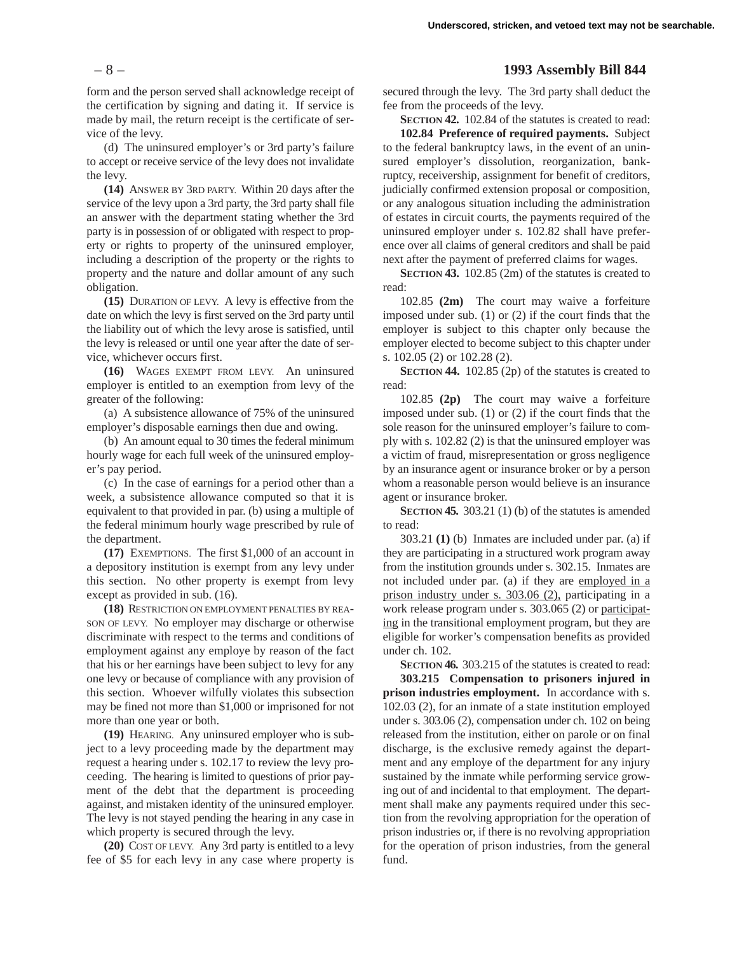form and the person served shall acknowledge receipt of the certification by signing and dating it. If service is made by mail, the return receipt is the certificate of service of the levy.

(d) The uninsured employer's or 3rd party's failure to accept or receive service of the levy does not invalidate the levy.

**(14)** ANSWER BY 3RD PARTY. Within 20 days after the service of the levy upon a 3rd party, the 3rd party shall file an answer with the department stating whether the 3rd party is in possession of or obligated with respect to property or rights to property of the uninsured employer, including a description of the property or the rights to property and the nature and dollar amount of any such obligation.

**(15)** DURATION OF LEVY. A levy is effective from the date on which the levy is first served on the 3rd party until the liability out of which the levy arose is satisfied, until the levy is released or until one year after the date of service, whichever occurs first.

**(16)** WAGES EXEMPT FROM LEVY. An uninsured employer is entitled to an exemption from levy of the greater of the following:

(a) A subsistence allowance of 75% of the uninsured employer's disposable earnings then due and owing.

(b) An amount equal to 30 times the federal minimum hourly wage for each full week of the uninsured employer's pay period.

(c) In the case of earnings for a period other than a week, a subsistence allowance computed so that it is equivalent to that provided in par. (b) using a multiple of the federal minimum hourly wage prescribed by rule of the department.

**(17)** EXEMPTIONS. The first \$1,000 of an account in a depository institution is exempt from any levy under this section. No other property is exempt from levy except as provided in sub. (16).

**(18)** RESTRICTION ON EMPLOYMENT PENALTIES BY REA-SON OF LEVY. No employer may discharge or otherwise discriminate with respect to the terms and conditions of employment against any employe by reason of the fact that his or her earnings have been subject to levy for any one levy or because of compliance with any provision of this section. Whoever wilfully violates this subsection may be fined not more than \$1,000 or imprisoned for not more than one year or both.

**(19)** HEARING. Any uninsured employer who is subject to a levy proceeding made by the department may request a hearing under s. 102.17 to review the levy proceeding. The hearing is limited to questions of prior payment of the debt that the department is proceeding against, and mistaken identity of the uninsured employer. The levy is not stayed pending the hearing in any case in which property is secured through the levy.

**(20)** COST OF LEVY. Any 3rd party is entitled to a levy fee of \$5 for each levy in any case where property is

# – 8 – **1993 Assembly Bill 844**

secured through the levy. The 3rd party shall deduct the fee from the proceeds of the levy.

**SECTION 42.** 102.84 of the statutes is created to read:

**102.84 Preference of required payments.** Subject to the federal bankruptcy laws, in the event of an uninsured employer's dissolution, reorganization, bankruptcy, receivership, assignment for benefit of creditors, judicially confirmed extension proposal or composition, or any analogous situation including the administration of estates in circuit courts, the payments required of the uninsured employer under s. 102.82 shall have preference over all claims of general creditors and shall be paid next after the payment of preferred claims for wages.

**SECTION 43.** 102.85 (2m) of the statutes is created to read:

102.85 **(2m)** The court may waive a forfeiture imposed under sub. (1) or (2) if the court finds that the employer is subject to this chapter only because the employer elected to become subject to this chapter under s. 102.05 (2) or 102.28 (2).

**SECTION 44.** 102.85 (2p) of the statutes is created to read:

102.85 **(2p)** The court may waive a forfeiture imposed under sub. (1) or (2) if the court finds that the sole reason for the uninsured employer's failure to comply with s. 102.82 (2) is that the uninsured employer was a victim of fraud, misrepresentation or gross negligence by an insurance agent or insurance broker or by a person whom a reasonable person would believe is an insurance agent or insurance broker.

**SECTION 45.** 303.21 (1) (b) of the statutes is amended to read:

303.21 **(1)** (b) Inmates are included under par. (a) if they are participating in a structured work program away from the institution grounds under s. 302.15. Inmates are not included under par. (a) if they are employed in a prison industry under s. 303.06 (2), participating in a work release program under s. 303.065 (2) or participating in the transitional employment program, but they are eligible for worker's compensation benefits as provided under ch. 102.

**SECTION 46.** 303.215 of the statutes is created to read:

**303.215 Compensation to prisoners injured in prison industries employment.** In accordance with s. 102.03 (2), for an inmate of a state institution employed under s. 303.06 (2), compensation under ch. 102 on being released from the institution, either on parole or on final discharge, is the exclusive remedy against the department and any employe of the department for any injury sustained by the inmate while performing service growing out of and incidental to that employment. The department shall make any payments required under this section from the revolving appropriation for the operation of prison industries or, if there is no revolving appropriation for the operation of prison industries, from the general fund.